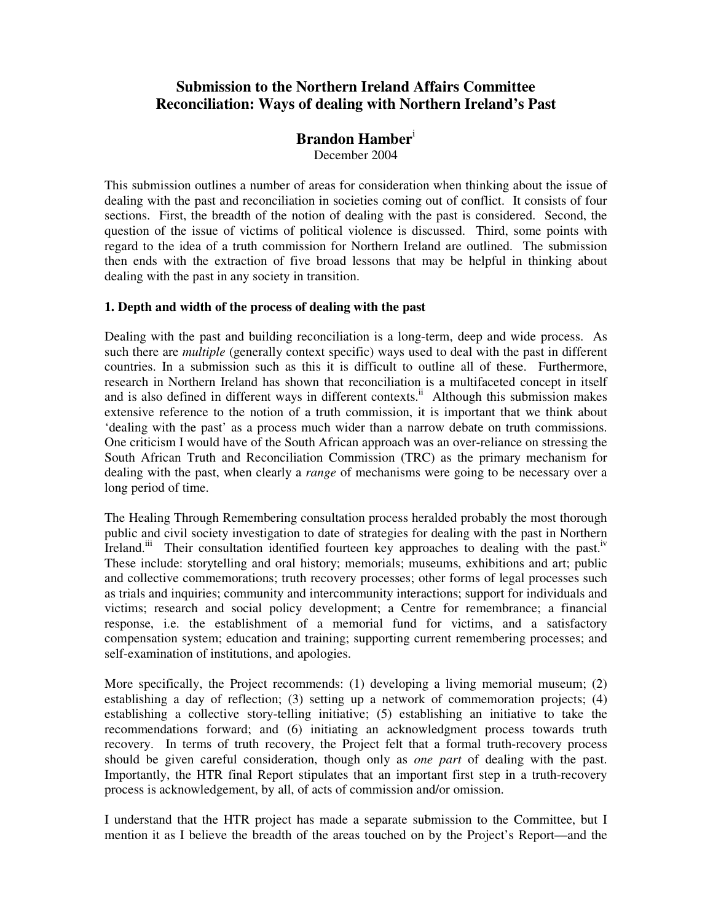# **Submission to the Northern Ireland Affairs Committee Reconciliation: Ways of dealing with Northern Ireland's Past**

# **Brandon Hamber**<sup>i</sup>

December 2004

This submission outlines a number of areas for consideration when thinking about the issue of dealing with the past and reconciliation in societies coming out of conflict. It consists of four sections. First, the breadth of the notion of dealing with the past is considered. Second, the question of the issue of victims of political violence is discussed. Third, some points with regard to the idea of a truth commission for Northern Ireland are outlined. The submission then ends with the extraction of five broad lessons that may be helpful in thinking about dealing with the past in any society in transition.

## **1. Depth and width of the process of dealing with the past**

Dealing with the past and building reconciliation is a long-term, deep and wide process. As such there are *multiple* (generally context specific) ways used to deal with the past in different countries. In a submission such as this it is difficult to outline all of these. Furthermore, research in Northern Ireland has shown that reconciliation is a multifaceted concept in itself and is also defined in different ways in different contexts.<sup>ii</sup> Although this submission makes extensive reference to the notion of a truth commission, it is important that we think about 'dealing with the past' as a process much wider than a narrow debate on truth commissions. One criticism I would have of the South African approach was an over-reliance on stressing the South African Truth and Reconciliation Commission (TRC) as the primary mechanism for dealing with the past, when clearly a *range* of mechanisms were going to be necessary over a long period of time.

The Healing Through Remembering consultation process heralded probably the most thorough public and civil society investigation to date of strategies for dealing with the past in Northern Ireland.<sup>iii</sup> Their consultation identified fourteen key approaches to dealing with the past.<sup>iv</sup> These include: storytelling and oral history; memorials; museums, exhibitions and art; public and collective commemorations; truth recovery processes; other forms of legal processes such as trials and inquiries; community and intercommunity interactions; support for individuals and victims; research and social policy development; a Centre for remembrance; a financial response, i.e. the establishment of a memorial fund for victims, and a satisfactory compensation system; education and training; supporting current remembering processes; and self-examination of institutions, and apologies.

More specifically, the Project recommends: (1) developing a living memorial museum; (2) establishing a day of reflection; (3) setting up a network of commemoration projects; (4) establishing a collective story-telling initiative; (5) establishing an initiative to take the recommendations forward; and (6) initiating an acknowledgment process towards truth recovery. In terms of truth recovery, the Project felt that a formal truth-recovery process should be given careful consideration, though only as *one part* of dealing with the past. Importantly, the HTR final Report stipulates that an important first step in a truth-recovery process is acknowledgement, by all, of acts of commission and/or omission.

I understand that the HTR project has made a separate submission to the Committee, but I mention it as I believe the breadth of the areas touched on by the Project's Report—and the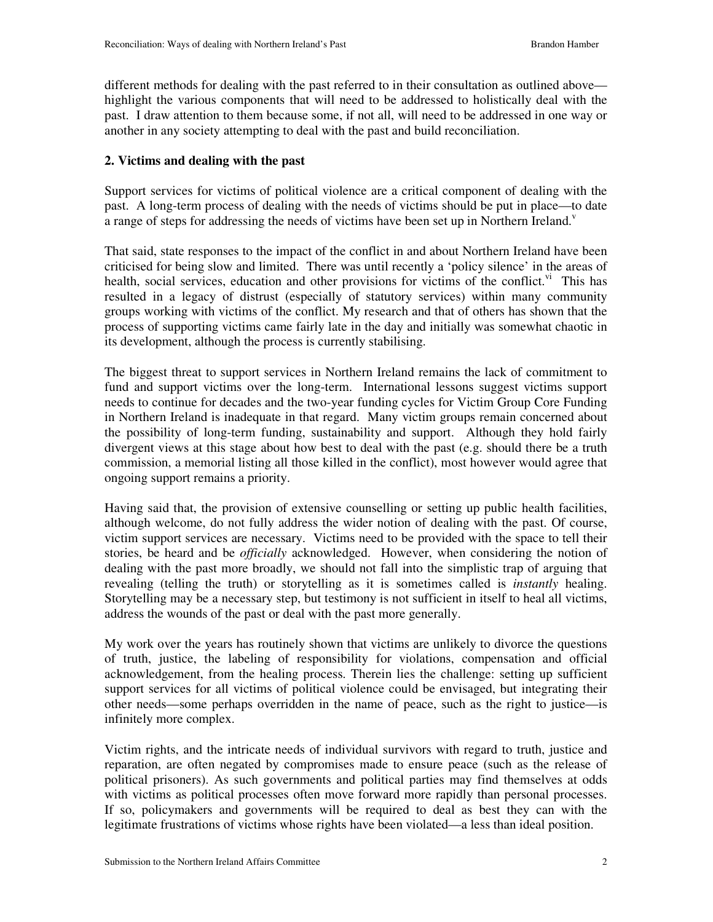different methods for dealing with the past referred to in their consultation as outlined above highlight the various components that will need to be addressed to holistically deal with the past. I draw attention to them because some, if not all, will need to be addressed in one way or another in any society attempting to deal with the past and build reconciliation.

## **2. Victims and dealing with the past**

Support services for victims of political violence are a critical component of dealing with the past. A long-term process of dealing with the needs of victims should be put in place—to date a range of steps for addressing the needs of victims have been set up in Northern Ireland.<sup>v</sup>

That said, state responses to the impact of the conflict in and about Northern Ireland have been criticised for being slow and limited. There was until recently a 'policy silence' in the areas of health, social services, education and other provisions for victims of the conflict.<sup>vi</sup> This has resulted in a legacy of distrust (especially of statutory services) within many community groups working with victims of the conflict. My research and that of others has shown that the process of supporting victims came fairly late in the day and initially was somewhat chaotic in its development, although the process is currently stabilising.

The biggest threat to support services in Northern Ireland remains the lack of commitment to fund and support victims over the long-term. International lessons suggest victims support needs to continue for decades and the two-year funding cycles for Victim Group Core Funding in Northern Ireland is inadequate in that regard. Many victim groups remain concerned about the possibility of long-term funding, sustainability and support. Although they hold fairly divergent views at this stage about how best to deal with the past (e.g. should there be a truth commission, a memorial listing all those killed in the conflict), most however would agree that ongoing support remains a priority.

Having said that, the provision of extensive counselling or setting up public health facilities, although welcome, do not fully address the wider notion of dealing with the past. Of course, victim support services are necessary. Victims need to be provided with the space to tell their stories, be heard and be *officially* acknowledged. However, when considering the notion of dealing with the past more broadly, we should not fall into the simplistic trap of arguing that revealing (telling the truth) or storytelling as it is sometimes called is *instantly* healing. Storytelling may be a necessary step, but testimony is not sufficient in itself to heal all victims, address the wounds of the past or deal with the past more generally.

My work over the years has routinely shown that victims are unlikely to divorce the questions of truth, justice, the labeling of responsibility for violations, compensation and official acknowledgement, from the healing process. Therein lies the challenge: setting up sufficient support services for all victims of political violence could be envisaged, but integrating their other needs—some perhaps overridden in the name of peace, such as the right to justice—is infinitely more complex.

Victim rights, and the intricate needs of individual survivors with regard to truth, justice and reparation, are often negated by compromises made to ensure peace (such as the release of political prisoners). As such governments and political parties may find themselves at odds with victims as political processes often move forward more rapidly than personal processes. If so, policymakers and governments will be required to deal as best they can with the legitimate frustrations of victims whose rights have been violated—a less than ideal position.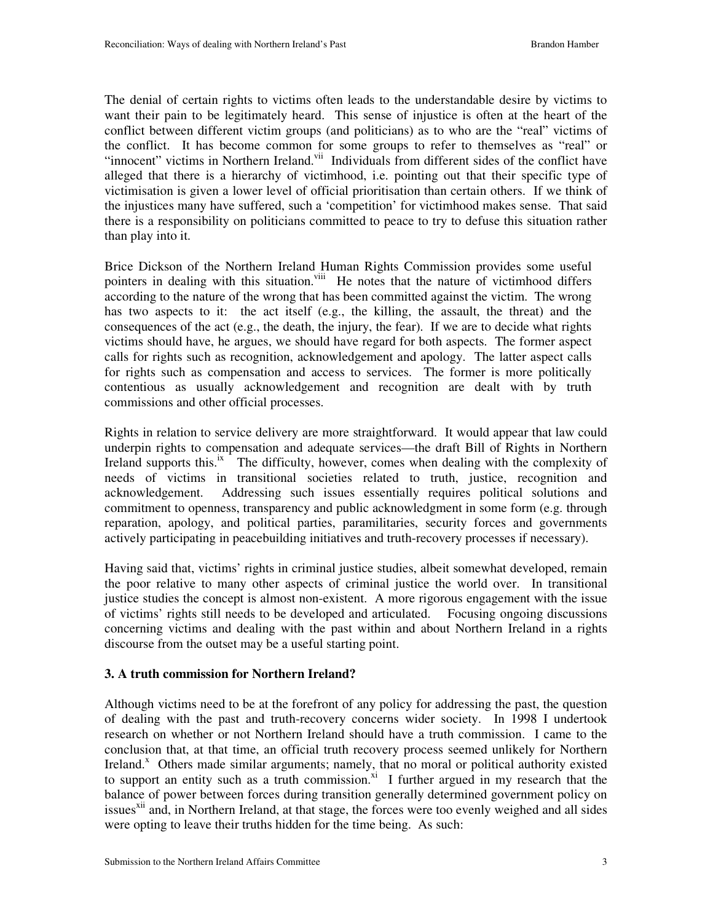The denial of certain rights to victims often leads to the understandable desire by victims to want their pain to be legitimately heard. This sense of injustice is often at the heart of the conflict between different victim groups (and politicians) as to who are the "real" victims of the conflict. It has become common for some groups to refer to themselves as "real" or "innocent" victims in Northern Ireland.<sup>vii</sup> Individuals from different sides of the conflict have alleged that there is a hierarchy of victimhood, i.e. pointing out that their specific type of victimisation is given a lower level of official prioritisation than certain others. If we think of the injustices many have suffered, such a 'competition' for victimhood makes sense. That said there is a responsibility on politicians committed to peace to try to defuse this situation rather than play into it.

Brice Dickson of the Northern Ireland Human Rights Commission provides some useful pointers in dealing with this situation.<sup>viii</sup> He notes that the nature of victimhood differs according to the nature of the wrong that has been committed against the victim. The wrong has two aspects to it: the act itself (e.g., the killing, the assault, the threat) and the consequences of the act (e.g., the death, the injury, the fear). If we are to decide what rights victims should have, he argues, we should have regard for both aspects. The former aspect calls for rights such as recognition, acknowledgement and apology. The latter aspect calls for rights such as compensation and access to services. The former is more politically contentious as usually acknowledgement and recognition are dealt with by truth commissions and other official processes.

Rights in relation to service delivery are more straightforward. It would appear that law could underpin rights to compensation and adequate services—the draft Bill of Rights in Northern Ireland supports this.<sup>ix</sup> The difficulty, however, comes when dealing with the complexity of needs of victims in transitional societies related to truth, justice, recognition and acknowledgement. Addressing such issues essentially requires political solutions and commitment to openness, transparency and public acknowledgment in some form (e.g. through reparation, apology, and political parties, paramilitaries, security forces and governments actively participating in peacebuilding initiatives and truth-recovery processes if necessary).

Having said that, victims' rights in criminal justice studies, albeit somewhat developed, remain the poor relative to many other aspects of criminal justice the world over. In transitional justice studies the concept is almost non-existent. A more rigorous engagement with the issue of victims' rights still needs to be developed and articulated. Focusing ongoing discussions concerning victims and dealing with the past within and about Northern Ireland in a rights discourse from the outset may be a useful starting point.

### **3. A truth commission for Northern Ireland?**

Although victims need to be at the forefront of any policy for addressing the past, the question of dealing with the past and truth-recovery concerns wider society. In 1998 I undertook research on whether or not Northern Ireland should have a truth commission. I came to the conclusion that, at that time, an official truth recovery process seemed unlikely for Northern Ireland.<sup>x</sup> Others made similar arguments; namely, that no moral or political authority existed to support an entity such as a truth commission.<sup>xi</sup> I further argued in my research that the balance of power between forces during transition generally determined government policy on issues<sup>xii</sup> and, in Northern Ireland, at that stage, the forces were too evenly weighed and all sides were opting to leave their truths hidden for the time being. As such: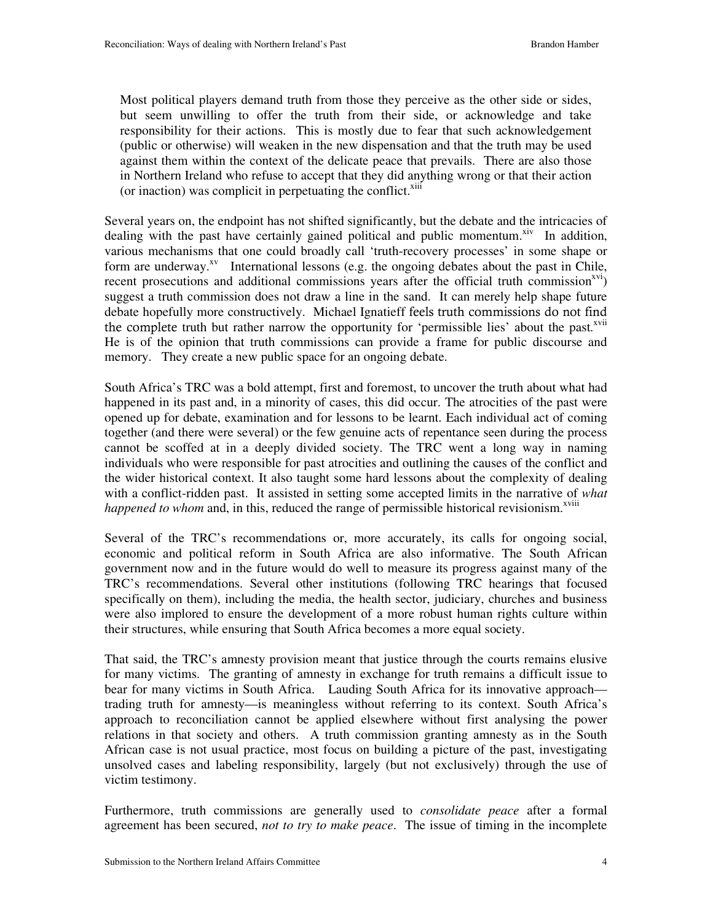Most political players demand truth from those they perceive as the other side or sides, but seem unwilling to offer the truth from their side, or acknowledge and take responsibility for their actions. This is mostly due to fear that such acknowledgement (public or otherwise) will weaken in the new dispensation and that the truth may be used against them within the context of the delicate peace that prevails. There are also those in Northern Ireland who refuse to accept that they did anything wrong or that their action (or inaction) was complicit in perpetuating the conflict. $x<sup>iii</sup>$ 

Several years on, the endpoint has not shifted significantly, but the debate and the intricacies of dealing with the past have certainly gained political and public momentum. $\frac{x^2}{x^2}$  In addition, various mechanisms that one could broadly call 'truth-recovery processes' in some shape or form are underway. $^{xy}$  International lessons (e.g. the ongoing debates about the past in Chile, recent prosecutions and additional commissions years after the official truth commission<sup>xvi</sup>) suggest a truth commission does not draw a line in the sand. It can merely help shape future debate hopefully more constructively. Michael Ignatieff feels truth commissions do not find the complete truth but rather narrow the opportunity for 'permissible lies' about the past.<sup>xvii</sup> He is of the opinion that truth commissions can provide a frame for public discourse and memory. They create a new public space for an ongoing debate.

South Africa's TRC was a bold attempt, first and foremost, to uncover the truth about what had happened in its past and, in a minority of cases, this did occur. The atrocities of the past were opened up for debate, examination and for lessons to be learnt. Each individual act of coming together (and there were several) or the few genuine acts of repentance seen during the process cannot be scoffed at in a deeply divided society. The TRC went a long way in naming individuals who were responsible for past atrocities and outlining the causes of the conflict and the wider historical context. It also taught some hard lessons about the complexity of dealing with a conflict-ridden past. It assisted in setting some accepted limits in the narrative of *what happened to whom* and, in this, reduced the range of permissible historical revisionism.<sup>xviii</sup>

Several of the TRC's recommendations or, more accurately, its calls for ongoing social, economic and political reform in South Africa are also informative. The South African government now and in the future would do well to measure its progress against many of the TRC's recommendations. Several other institutions (following TRC hearings that focused specifically on them), including the media, the health sector, judiciary, churches and business were also implored to ensure the development of a more robust human rights culture within their structures, while ensuring that South Africa becomes a more equal society.

That said, the TRC's amnesty provision meant that justice through the courts remains elusive for many victims. The granting of amnesty in exchange for truth remains a difficult issue to bear for many victims in South Africa. Lauding South Africa for its innovative approach trading truth for amnesty—is meaningless without referring to its context. South Africa's approach to reconciliation cannot be applied elsewhere without first analysing the power relations in that society and others. A truth commission granting amnesty as in the South African case is not usual practice, most focus on building a picture of the past, investigating unsolved cases and labeling responsibility, largely (but not exclusively) through the use of victim testimony.

Furthermore, truth commissions are generally used to *consolidate peace* after a formal agreement has been secured, *not to try to make peace*. The issue of timing in the incomplete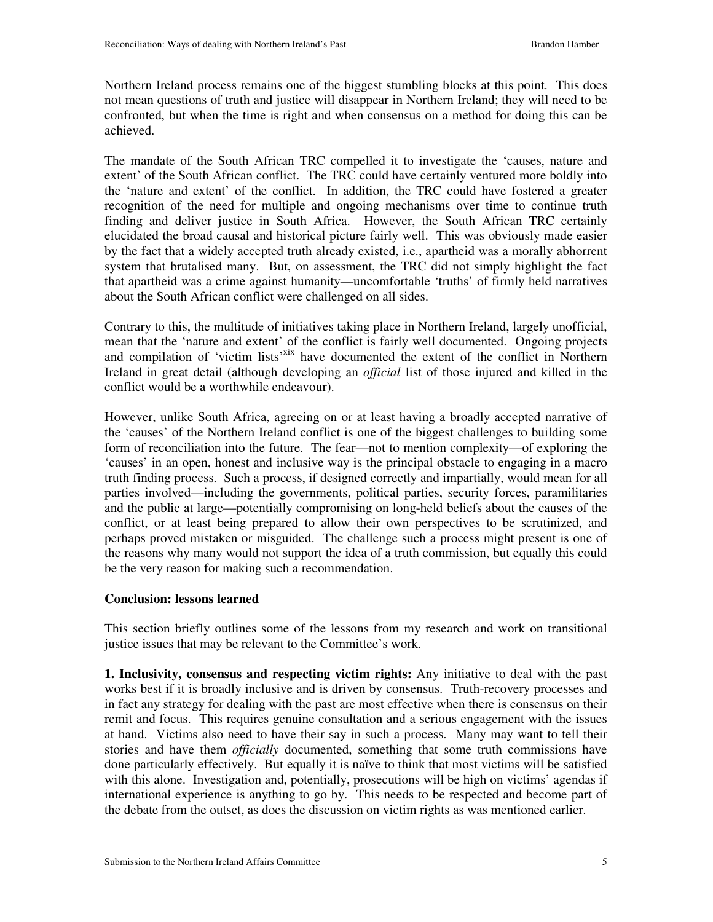Northern Ireland process remains one of the biggest stumbling blocks at this point. This does not mean questions of truth and justice will disappear in Northern Ireland; they will need to be confronted, but when the time is right and when consensus on a method for doing this can be achieved.

The mandate of the South African TRC compelled it to investigate the 'causes, nature and extent' of the South African conflict. The TRC could have certainly ventured more boldly into the 'nature and extent' of the conflict. In addition, the TRC could have fostered a greater recognition of the need for multiple and ongoing mechanisms over time to continue truth finding and deliver justice in South Africa. However, the South African TRC certainly elucidated the broad causal and historical picture fairly well. This was obviously made easier by the fact that a widely accepted truth already existed, i.e., apartheid was a morally abhorrent system that brutalised many. But, on assessment, the TRC did not simply highlight the fact that apartheid was a crime against humanity—uncomfortable 'truths' of firmly held narratives about the South African conflict were challenged on all sides.

Contrary to this, the multitude of initiatives taking place in Northern Ireland, largely unofficial, mean that the 'nature and extent' of the conflict is fairly well documented. Ongoing projects and compilation of 'victim lists'<sup>xix</sup> have documented the extent of the conflict in Northern Ireland in great detail (although developing an *official* list of those injured and killed in the conflict would be a worthwhile endeavour).

However, unlike South Africa, agreeing on or at least having a broadly accepted narrative of the 'causes' of the Northern Ireland conflict is one of the biggest challenges to building some form of reconciliation into the future. The fear—not to mention complexity—of exploring the 'causes' in an open, honest and inclusive way is the principal obstacle to engaging in a macro truth finding process. Such a process, if designed correctly and impartially, would mean for all parties involved—including the governments, political parties, security forces, paramilitaries and the public at large—potentially compromising on long-held beliefs about the causes of the conflict, or at least being prepared to allow their own perspectives to be scrutinized, and perhaps proved mistaken or misguided. The challenge such a process might present is one of the reasons why many would not support the idea of a truth commission, but equally this could be the very reason for making such a recommendation.

### **Conclusion: lessons learned**

This section briefly outlines some of the lessons from my research and work on transitional justice issues that may be relevant to the Committee's work.

**1. Inclusivity, consensus and respecting victim rights:** Any initiative to deal with the past works best if it is broadly inclusive and is driven by consensus. Truth-recovery processes and in fact any strategy for dealing with the past are most effective when there is consensus on their remit and focus. This requires genuine consultation and a serious engagement with the issues at hand. Victims also need to have their say in such a process. Many may want to tell their stories and have them *officially* documented, something that some truth commissions have done particularly effectively. But equally it is naïve to think that most victims will be satisfied with this alone. Investigation and, potentially, prosecutions will be high on victims' agendas if international experience is anything to go by. This needs to be respected and become part of the debate from the outset, as does the discussion on victim rights as was mentioned earlier.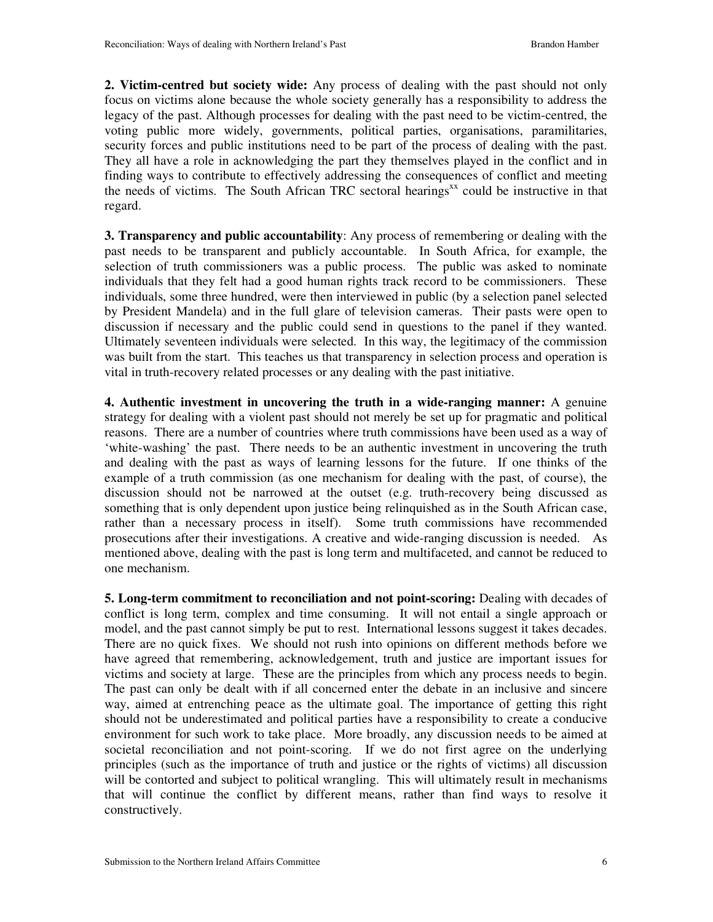**2. Victim-centred but society wide:** Any process of dealing with the past should not only focus on victims alone because the whole society generally has a responsibility to address the legacy of the past. Although processes for dealing with the past need to be victim-centred, the voting public more widely, governments, political parties, organisations, paramilitaries, security forces and public institutions need to be part of the process of dealing with the past. They all have a role in acknowledging the part they themselves played in the conflict and in finding ways to contribute to effectively addressing the consequences of conflict and meeting the needs of victims. The South African TRC sectoral hearings<sup>xx</sup> could be instructive in that regard.

**3. Transparency and public accountability**: Any process of remembering or dealing with the past needs to be transparent and publicly accountable. In South Africa, for example, the selection of truth commissioners was a public process. The public was asked to nominate individuals that they felt had a good human rights track record to be commissioners. These individuals, some three hundred, were then interviewed in public (by a selection panel selected by President Mandela) and in the full glare of television cameras. Their pasts were open to discussion if necessary and the public could send in questions to the panel if they wanted. Ultimately seventeen individuals were selected. In this way, the legitimacy of the commission was built from the start. This teaches us that transparency in selection process and operation is vital in truth-recovery related processes or any dealing with the past initiative.

**4. Authentic investment in uncovering the truth in a wide-ranging manner:** A genuine strategy for dealing with a violent past should not merely be set up for pragmatic and political reasons. There are a number of countries where truth commissions have been used as a way of 'white-washing' the past. There needs to be an authentic investment in uncovering the truth and dealing with the past as ways of learning lessons for the future. If one thinks of the example of a truth commission (as one mechanism for dealing with the past, of course), the discussion should not be narrowed at the outset (e.g. truth-recovery being discussed as something that is only dependent upon justice being relinquished as in the South African case, rather than a necessary process in itself). Some truth commissions have recommended prosecutions after their investigations. A creative and wide-ranging discussion is needed. As mentioned above, dealing with the past is long term and multifaceted, and cannot be reduced to one mechanism.

**5. Long-term commitment to reconciliation and not point-scoring:** Dealing with decades of conflict is long term, complex and time consuming. It will not entail a single approach or model, and the past cannot simply be put to rest. International lessons suggest it takes decades. There are no quick fixes. We should not rush into opinions on different methods before we have agreed that remembering, acknowledgement, truth and justice are important issues for victims and society at large. These are the principles from which any process needs to begin. The past can only be dealt with if all concerned enter the debate in an inclusive and sincere way, aimed at entrenching peace as the ultimate goal. The importance of getting this right should not be underestimated and political parties have a responsibility to create a conducive environment for such work to take place. More broadly, any discussion needs to be aimed at societal reconciliation and not point-scoring. If we do not first agree on the underlying principles (such as the importance of truth and justice or the rights of victims) all discussion will be contorted and subject to political wrangling. This will ultimately result in mechanisms that will continue the conflict by different means, rather than find ways to resolve it constructively.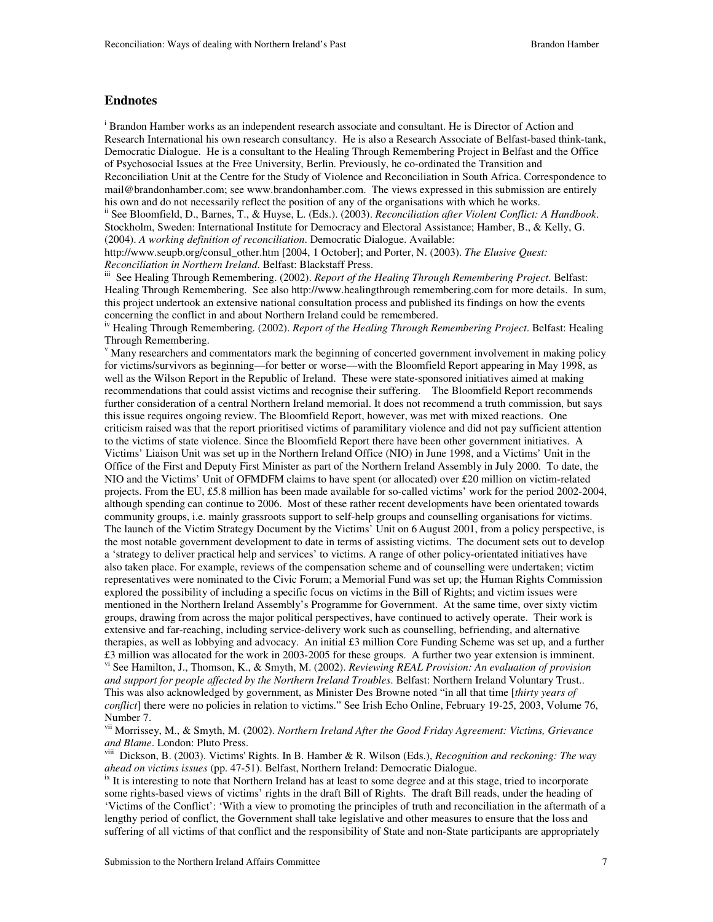#### **Endnotes**

<sup>i</sup> Brandon Hamber works as an independent research associate and consultant. He is Director of Action and Research International his own research consultancy. He is also a Research Associate of Belfast-based think-tank, Democratic Dialogue. He is a consultant to the Healing Through Remembering Project in Belfast and the Office of Psychosocial Issues at the Free University, Berlin. Previously, he co-ordinated the Transition and Reconciliation Unit at the Centre for the Study of Violence and Reconciliation in South Africa. Correspondence to mail@brandonhamber.com; see www.brandonhamber.com. The views expressed in this submission are entirely his own and do not necessarily reflect the position of any of the organisations with which he works.

ii See Bloomfield, D., Barnes, T., & Huyse, L. (Eds.). (2003). *Reconciliation after Violent Conflict: A Handbook*. Stockholm, Sweden: International Institute for Democracy and Electoral Assistance; Hamber, B., & Kelly, G. (2004). *A working definition of reconciliation*. Democratic Dialogue. Available:

http://www.seupb.org/consul\_other.htm [2004, 1 October]; and Porter, N. (2003). *The Elusive Ouest: Reconciliation in Northern Ireland*. Belfast: Blackstaff Press.

See Healing Through Remembering. (2002). *Report of the Healing Through Remembering Project*. Belfast: Healing Through Remembering. See also http://www.healingthrough remembering.com for more details. In sum, this project undertook an extensive national consultation process and published its findings on how the events concerning the conflict in and about Northern Ireland could be remembered.

iv Healing Through Remembering. (2002). *Report of the Healing Through Remembering Project*. Belfast: Healing Through Remembering.

v Many researchers and commentators mark the beginning of concerted government involvement in making policy for victims/survivors as beginning—for better or worse—with the Bloomfield Report appearing in May 1998, as well as the Wilson Report in the Republic of Ireland. These were state-sponsored initiatives aimed at making recommendations that could assist victims and recognise their suffering. The Bloomfield Report recommends further consideration of a central Northern Ireland memorial. It does not recommend a truth commission, but says this issue requires ongoing review. The Bloomfield Report, however, was met with mixed reactions. One criticism raised was that the report prioritised victims of paramilitary violence and did not pay sufficient attention to the victims of state violence. Since the Bloomfield Report there have been other government initiatives. A Victims' Liaison Unit was set up in the Northern Ireland Office (NIO) in June 1998, and a Victims' Unit in the Office of the First and Deputy First Minister as part of the Northern Ireland Assembly in July 2000. To date, the NIO and the Victims' Unit of OFMDFM claims to have spent (or allocated) over £20 million on victim-related projects. From the EU, £5.8 million has been made available for so-called victims' work for the period 2002-2004, although spending can continue to 2006. Most of these rather recent developments have been orientated towards community groups, i.e. mainly grassroots support to self-help groups and counselling organisations for victims. The launch of the Victim Strategy Document by the Victims' Unit on 6 August 2001, from a policy perspective, is the most notable government development to date in terms of assisting victims. The document sets out to develop a 'strategy to deliver practical help and services' to victims. A range of other policy-orientated initiatives have also taken place. For example, reviews of the compensation scheme and of counselling were undertaken; victim representatives were nominated to the Civic Forum; a Memorial Fund was set up; the Human Rights Commission explored the possibility of including a specific focus on victims in the Bill of Rights; and victim issues were mentioned in the Northern Ireland Assembly's Programme for Government. At the same time, over sixty victim groups, drawing from across the major political perspectives, have continued to actively operate. Their work is extensive and far-reaching, including service-delivery work such as counselling, befriending, and alternative therapies, as well as lobbying and advocacy. An initial £3 million Core Funding Scheme was set up, and a further £3 million was allocated for the work in 2003-2005 for these groups. A further two year extension is imminent. vi See Hamilton, J., Thomson, K., & Smyth, M. (2002). *Reviewing REAL Provision: An evaluation of provision and support for people affected by the Northern Ireland Troubles*. Belfast: Northern Ireland Voluntary Trust.. This was also acknowledged by government, as Minister Des Browne noted "in all that time [*thirty years of conflict*] there were no policies in relation to victims." See Irish Echo Online, February 19-25, 2003, Volume 76, Number 7.

vii Morrissey, M., & Smyth, M. (2002). *Northern Ireland After the Good Friday Agreement: Victims, Grievance and Blame*. London: Pluto Press.

viii Dickson, B. (2003). Victims' Rights. In B. Hamber & R. Wilson (Eds.), *Recognition and reckoning: The way ahead on victims issues* (pp. 47-51). Belfast, Northern Ireland: Democratic Dialogue.

<sup>ix</sup> It is interesting to note that Northern Ireland has at least to some degree and at this stage, tried to incorporate some rights-based views of victims' rights in the draft Bill of Rights. The draft Bill reads, under the heading of 'Victims of the Conflict': 'With a view to promoting the principles of truth and reconciliation in the aftermath of a lengthy period of conflict, the Government shall take legislative and other measures to ensure that the loss and suffering of all victims of that conflict and the responsibility of State and non-State participants are appropriately